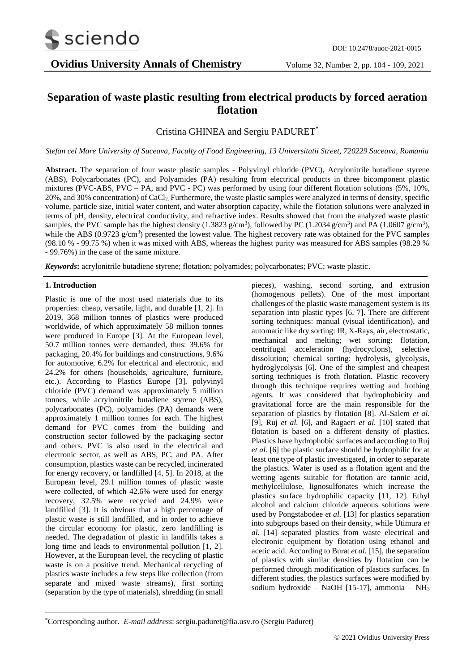

# **Separation of waste plastic resulting from electrical products by forced aeration flotation**

## Cristina GHINEA and Sergiu PADURET\*

*Stefan cel Mare University of Suceava, Faculty of Food Engineering, 13 Universitatii Street, 720229 Suceava, Romania*

**Abstract.** The separation of four waste plastic samples - Polyvinyl chloride (PVC), Acrylonitrile butadiene styrene (ABS), Polycarbonates (PC), and Polyamides (PA) resulting from electrical products in three bicomponent plastic mixtures (PVC-ABS, PVC – PA, and PVC - PC) was performed by using four different flotation solutions (5%, 10%, 20%, and 30% concentration) of CaCl2. Furthermore, the waste plastic samples were analyzed in terms of density, specific volume, particle size, initial water content, and water absorption capacity, while the flotation solutions were analyzed in terms of pH, density, electrical conductivity, and refractive index. Results showed that from the analyzed waste plastic samples, the PVC sample has the highest density (1.3823 g/cm<sup>3</sup>), followed by PC (1.2034 g/cm<sup>3</sup>) and PA (1.0607 g/cm<sup>3</sup>), while the ABS  $(0.9723 \text{ g/cm}^3)$  presented the lowest value. The highest recovery rate was obtained for the PVC samples (98.10 % - 99.75 %) when it was mixed with ABS, whereas the highest purity was measured for ABS samples (98.29 % - 99.76%) in the case of the same mixture.

*Keywords***:** acrylonitrile butadiene styrene; flotation; polyamides; polycarbonates; PVC; waste plastic.

## **1. Introduction**

Plastic is one of the most used materials due to its properties: cheap, versatile, light, and durable [1, 2]. In 2019, 368 million tonnes of plastics were produced worldwide, of which approximately 58 million tonnes were produced in Europe [3]. At the European level, 50.7 million tonnes were demanded, thus: 39.6% for packaging, 20.4% for buildings and constructions, 9.6% for automotive, 6.2% for electrical and electronic, and 24.2% for others (households, agriculture, furniture, etc.). According to Plastics Europe [3], polyvinyl chloride (PVC) demand was approximately 5 million tonnes, while acrylonitrile butadiene styrene (ABS), polycarbonates (PC), polyamides (PA) demands were approximately 1 million tonnes for each. The highest demand for PVC comes from the building and construction sector followed by the packaging sector and others. PVC is also used in the electrical and electronic sector, as well as ABS, PC, and PA. After consumption, plastics waste can be recycled, incinerated for energy recovery, or landfilled [4, 5]. In 2018, at the European level, 29.1 million tonnes of plastic waste were collected, of which 42.6% were used for energy recovery, 32.5% were recycled and 24.9% were landfilled [3]. It is obvious that a high percentage of plastic waste is still landfilled, and in order to achieve the circular economy for plastic, zero landfilling is needed. The degradation of plastic in landfills takes a long time and leads to environmental pollution [1, 2]. However, at the European level, the recycling of plastic waste is on a positive trend. Mechanical recycling of plastics waste includes a few steps like collection (from separate and mixed waste streams), first sorting (separation by the type of materials), shredding (in small

pieces), washing, second sorting, and extrusion (homogenous pellets). One of the most important challenges of the plastic waste management system is its separation into plastic types [6, 7]. There are different sorting techniques: manual (visual identification), and automatic like dry sorting: IR, X-Rays, air, electrostatic, mechanical and melting; wet sorting: flotation, centrifugal acceleration (hydrocyclons), selective dissolution; chemical sorting: hydrolysis, glycolysis, hydroglycolysis [6]. One of the simplest and cheapest sorting techniques is froth flotation. Plastic recovery through this technique requires wetting and frothing agents. It was considered that hydrophobicity and gravitational force are the main responsible for the separation of plastics by flotation [8]. Al-Salem *et al.* [9], Ruj *et al.* [6], and Ragaert *et al.* [10] stated that flotation is based on a different density of plastics. Plastics have hydrophobic surfaces and according to Ruj *et al.* [6] the plastic surface should be hydrophilic for at least one type of plastic investigated, in order to separate the plastics. Water is used as a flotation agent and the wetting agents suitable for flotation are tannic acid, methylcellulose, lignosulfonates which increase the plastics surface hydrophilic capacity [11, 12]. Ethyl alcohol and calcium chloride aqueous solutions were used by Pongstabodee *et al.* [13] for plastics separation into subgroups based on their density, while Utimura *et al.* [14] separated plastics from waste electrical and electronic equipment by flotation using ethanol and acetic acid. According to Burat *et al.* [15], the separation of plastics with similar densities by flotation can be performed through modification of plastics surfaces. In different studies, the plastics surfaces were modified by sodium hydroxide – NaOH [15-17], ammonia – NH<sup>3</sup>

<sup>\*</sup>Corresponding author. *E-mail address*: sergiu.paduret@fia.usv.ro (Sergiu Paduret)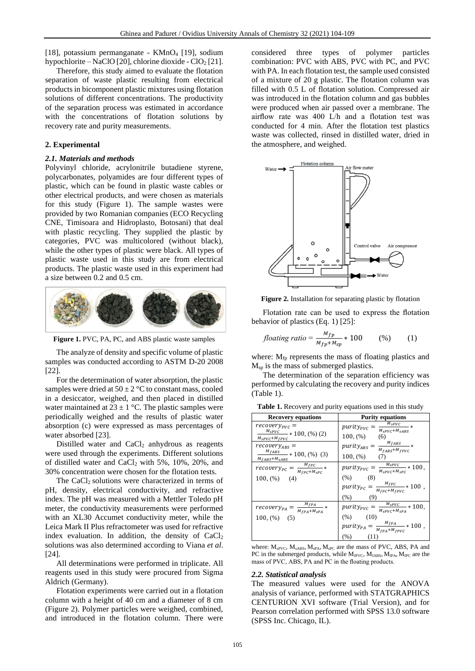[18], potassium permanganate - KMnO<sub>4</sub> [19], sodium hypochlorite – NaClO [20], chlorine dioxide -  $ClO<sub>2</sub>$  [21].

Therefore, this study aimed to evaluate the flotation separation of waste plastic resulting from electrical products in bicomponent plastic mixtures using flotation solutions of different concentrations. The productivity of the separation process was estimated in accordance with the concentrations of flotation solutions by recovery rate and purity measurements.

## **2. Experimental**

## *2.1. Materials and methods*

Polyvinyl chloride, acrylonitrile butadiene styrene, polycarbonates, polyamides are four different types of plastic, which can be found in plastic waste cables or other electrical products, and were chosen as materials for this study (Figure 1). The sample wastes were provided by two Romanian companies (ECO Recycling CNE, Timisoara and Hidroplasto, Botosani) that deal with plastic recycling. They supplied the plastic by categories, PVC was multicolored (without black), while the other types of plastic were black. All types of plastic waste used in this study are from electrical products. The plastic waste used in this experiment had a size between 0.2 and 0.5 cm.



**Figure 1.** PVC, PA, PC, and ABS plastic waste samples

The analyze of density and specific volume of plastic samples was conducted according to ASTM D-20 2008 [22].

For the determination of water absorption, the plastic samples were dried at  $50 \pm 2$  °C to constant mass, cooled in a desiccator, weighed, and then placed in distilled water maintained at  $23 \pm 1$  °C. The plastic samples were periodically weighed and the results of plastic water absorption (c) were expressed as mass percentages of water absorbed [23].

Distilled water and  $CaCl<sub>2</sub>$  anhydrous as reagents were used through the experiments. Different solutions of distilled water and CaCl<sup>2</sup> with 5%, 10%, 20%, and 30% concentration were chosen for the flotation tests.

The CaCl<sub>2</sub> solutions were characterized in terms of pH, density, electrical conductivity, and refractive index. The pH was measured with a Mettler Toledo pH meter, the conductivity measurements were performed with an XL30 Accumet conductivity meter, while the Leica Mark II Plus refractometer was used for refractive index evaluation. In addition, the density of  $CaCl<sub>2</sub>$ solutions was also determined according to Viana *et al*. [24].

All determinations were performed in triplicate. All reagents used in this study were procured from Sigma Aldrich (Germany).

Flotation experiments were carried out in a flotation column with a height of 40 cm and a diameter of 8 cm (Figure 2). Polymer particles were weighed, combined, and introduced in the flotation column. There were

considered three types of polymer particles combination: PVC with ABS, PVC with PC, and PVC with PA. In each flotation test, the sample used consisted of a mixture of 20 g plastic. The flotation column was filled with 0.5 L of flotation solution. Compressed air was introduced in the flotation column and gas bubbles were produced when air passed over a membrane. The airflow rate was 400 L/h and a flotation test was conducted for 4 min. After the flotation test plastics waste was collected, rinsed in distilled water, dried in the atmosphere, and weighed.



**Figure 2.** Installation for separating plastic by flotation

Flotation rate can be used to express the flotation behavior of plastics (Eq. 1) [25]:

$$
floating\ ratio = \frac{M_{fp}}{M_{fp} + M_{sp}} * 100 \qquad (*) \qquad (1)
$$

where:  $M_{fp}$  represents the mass of floating plastics and Msp is the mass of submerged plastics.

The determination of the separation efficiency was performed by calculating the recovery and purity indices (Table 1).

| <b>Recovery equations</b>                                                               | <b>Purity equations</b>                                                                                                        |  |  |
|-----------------------------------------------------------------------------------------|--------------------------------------------------------------------------------------------------------------------------------|--|--|
| $recovery_{PVC} =$<br>$\frac{M_{sPVC}}{M_{sPVC}}*100,(%)(2)$<br>$M_{SPVC}+M_{fPVC}$     | $\frac{M_{SPVC}}{M_{SPVC}}$<br>$purity_{PVC}$<br>$M_{SPVC}+M_{SABS}$<br>100, (%<br>(6)                                         |  |  |
| $recovery_{ABS} =$<br>$\frac{M_{fABS}}{M_{fABS}}$ * 100, (%) (3)<br>$M_{fABS}+M_{SABS}$ | $M_{fABS}$ *<br>$purity_{ABS} =$<br>$M_{fABS}+M_{fPVC}$<br>100, (%<br>(7)                                                      |  |  |
| $M_{fPC}$ *<br>$recovery_{PC} =$<br>$M_{fPC}+M_{SPC}$                                   | $\frac{M_{sPVC}}{M}$ * 100,<br>$purity_{PVC} =$<br>$M_{SPVC}+M_{SPC}$                                                          |  |  |
| 100, (%)<br>(4)                                                                         | (% )<br>(8)<br>$\frac{M_{fPC}}{M_{fPC}}$ * 100,<br>$purity_{PC} = \frac{1}{M}$<br>$\overline{M}_{fPC}+M_{fPVC}$<br>(% )<br>(9) |  |  |
| $M_{fPA}$ $_{\rm \ast}$<br>$recovery_{PA} =$<br>$M_{fPA}+M_{SPA}$                       | $\frac{M_{SPVC}}{M_{SPVC}}$ * 100,<br>$purity_{PVC} = \frac{1}{M_{SPVC} + M_{SPA}}$                                            |  |  |
| $100, (\%)$ (5)                                                                         | (% )<br>(10)<br>$\sqrt[M_{fPA}]{M_{fPA}}*100$ ,<br>$purity_{PA}$<br>$M_{fDA}+M_{fDVC}$                                         |  |  |

**Table 1.** Recovery and purity equations used in this study

where:  $M_{sPVC}$ ,  $M_{sABS}$ ,  $M_{sPA}$ ,  $M_{sPC}$  are the mass of PVC, ABS, PA and PC in the submerged products, while  $M_{fPVC}$ ,  $M_{fABS}$ ,  $M_{fPA}$ ,  $M_{fPC}$  are the mass of PVC, ABS, PA and PC in the floating products.

(%) (11)

#### *2.2. Statistical analysis*

The measured values were used for the ANOVA analysis of variance, performed with STATGRAPHICS CENTURION XVI software (Trial Version), and for Pearson correlation performed with SPSS 13.0 software (SPSS Inc. Chicago, IL).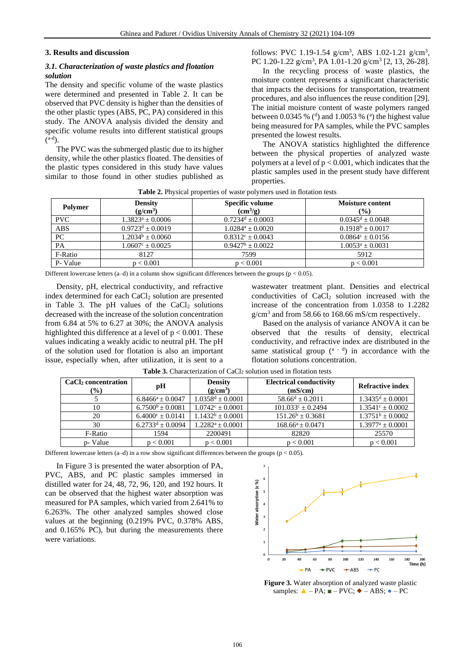#### **3. Results and discussion**

## *3.1. Characterization of waste plastics and flotation solution*

The density and specific volume of the waste plastics were determined and presented in Table 2. It can be observed that PVC density is higher than the densities of the other plastic types (ABS, PC, PA) considered in this study. The ANOVA analysis divided the density and specific volume results into different statistical groups  $\binom{a-d}{ }$ .

The PVC was the submerged plastic due to its higher density, while the other plastics floated. The densities of the plastic types considered in this study have values similar to those found in other studies published as follows: PVC 1.19-1.54  $g/cm^3$ , ABS 1.02-1.21  $g/cm^3$ , PC 1.20-1.22  $g/cm^3$ , PA 1.01-1.20  $g/cm^3$  [2, 13, 26-28].

In the recycling process of waste plastics, the moisture content represents a significant characteristic that impacts the decisions for transportation, treatment procedures, and also influences the reuse condition [29]. The initial moisture content of waste polymers ranged between 0.0345 % ( $\textdegree$ ) and 1.0053 % ( $\textdegree$ ) the highest value being measured for PA samples, while the PVC samples presented the lowest results.

The ANOVA statistics highlighted the difference between the physical properties of analyzed waste polymers at a level of  $p < 0.001$ , which indicates that the plastic samples used in the present study have different properties.

|  | Table 2. Physical properties of waste polymers used in flotation tests |  |  |
|--|------------------------------------------------------------------------|--|--|
|--|------------------------------------------------------------------------|--|--|

| Polymer    | <b>Density</b><br>$(g/cm^3)$ | <b>Specific volume</b><br>$\text{cm}^3\text{/g}$ | Moisture content<br>$($ %) |  |
|------------|------------------------------|--------------------------------------------------|----------------------------|--|
| <b>PVC</b> | $1.3823^a \pm 0.0006$        | $0.7234^d + 0.0003$                              | $0.0345^d + 0.0048$        |  |
| <b>ABS</b> | $0.9723^d \pm 0.0019$        | $1.0284^a + 0.0020$                              | $0.1918^b \pm 0.0017$      |  |
| PC         | $1.2034b + 0.0060$           | $0.8312^{\circ} + 0.0043$                        | $0.0864^{\circ} + 0.0156$  |  |
| PA         | $1.0607^{\circ} + 0.0025$    | $0.9427^b \pm 0.0022$                            | $1.0053^a \pm 0.0031$      |  |
| F-Ratio    | 8127                         | 7599                                             | 5912                       |  |
| P- Value   | p < 0.001                    | p < 0.001                                        | p < 0.001                  |  |

Different lowercase letters (a–d) in a column show significant differences between the groups ( $p < 0.05$ ).

Density, pH, electrical conductivity, and refractive index determined for each CaCl<sub>2</sub> solution are presented in Table 3. The pH values of the  $CaCl<sub>2</sub>$  solutions decreased with the increase of the solution concentration from 6.84 at 5% to 6.27 at 30%; the ANOVA analysis highlighted this difference at a level of  $p < 0.001$ . These values indicating a weakly acidic to neutral pH. The pH of the solution used for flotation is also an important issue, especially when, after utilization, it is sent to a wastewater treatment plant. Densities and electrical conductivities of CaCl<sub>2</sub> solution increased with the increase of the concentration from 1.0358 to 1.2282  $g/cm<sup>3</sup>$  and from 58.66 to 168.66 mS/cm respectively.

Based on the analysis of variance ANOVA it can be observed that the results of density, electrical conductivity, and refractive index are distributed in the same statistical group  $({}^{a-d})$  in accordance with the flotation solutions concentration.

| CaCl <sub>2</sub> concentration<br>$(\%)$ | рH                          | <b>Density</b><br>$(g/cm^3)$ | <b>Electrical conductivity</b><br>(mS/cm) | <b>Refractive index</b>          |
|-------------------------------------------|-----------------------------|------------------------------|-------------------------------------------|----------------------------------|
|                                           | $6.8466^a \pm 0.0047$       | $1.0358^d \pm 0.0001$        | $58.66^d \pm 0.2011$                      | $1.3435^d \pm 0.0001$            |
| 10                                        | $6.7500^b \pm 0.0081$       | $1.0742^{\circ} \pm 0.0001$  | $101.033^{\circ} + 0.2494$                | $1.3541^{\circ} + 0.0002$        |
| 20                                        | $6.4000^{\circ} \pm 0.0141$ | $1.1432^b \pm 0.0001$        | $151.26^b \pm 0.3681$                     | $1.3751^b \pm 0.0002$            |
| 30                                        | $6.2733^d \pm 0.0094$       | $1.2282^a \pm 0.0001$        | $168.66^a \pm 0.0471$                     | $1.3977^{\mathrm{a}} \pm 0.0001$ |
| F-Ratio                                   | 1594                        | 2200491                      | 82820                                     | 25570                            |
| p- Value                                  | p < 0.001                   | p < 0.001                    | p < 0.001                                 | p < 0.001                        |

Table 3. Characterization of CaCl<sub>2</sub> solution used in flotation tests

Different lowercase letters  $(a-d)$  in a row show significant differences between the groups ( $p < 0.05$ ).

In Figure 3 is presented the water absorption of PA, PVC, ABS, and PC plastic samples immersed in distilled water for 24, 48, 72, 96, 120, and 192 hours. It can be observed that the highest water absorption was measured for PA samples, which varied from 2.641% to 6.263%. The other analyzed samples showed close values at the beginning (0.219% PVC, 0.378% ABS, and 0.165% PC), but during the measurements there were variations.



**Figure 3.** Water absorption of analyzed waste plastic samples:  $\triangle$  – PA;  $\blacksquare$  – PVC;  $\blacklozenge$  – ABS;  $\lozenge$  – PC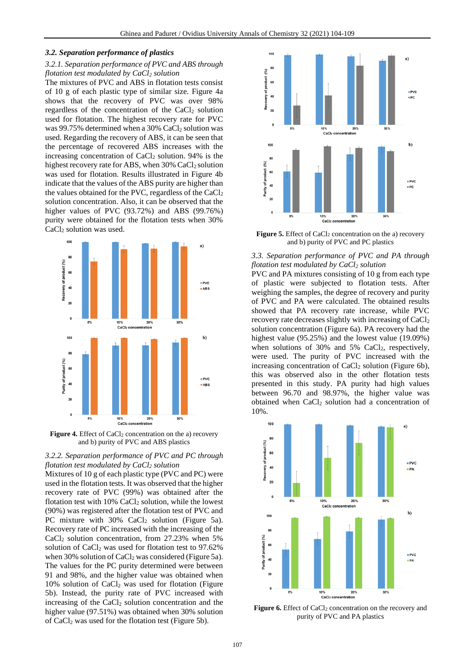#### *3.2. Separation performance of plastics*

## *3.2.1. Separation performance of PVC and ABS through flotation test modulated by CaCl<sup>2</sup> solution*

The mixtures of PVC and ABS in flotation tests consist of 10 g of each plastic type of similar size. Figure 4a shows that the recovery of PVC was over 98% regardless of the concentration of the  $CaCl<sub>2</sub>$  solution used for flotation. The highest recovery rate for PVC was 99.75% determined when a 30% CaCl<sub>2</sub> solution was used. Regarding the recovery of ABS, it can be seen that the percentage of recovered ABS increases with the increasing concentration of  $CaCl<sub>2</sub>$  solution. 94% is the highest recovery rate for ABS, when 30% CaCl<sub>2</sub> solution was used for flotation. Results illustrated in Figure 4b indicate that the values of the ABS purity are higher than the values obtained for the PVC, regardless of the CaCl<sub>2</sub> solution concentration. Also, it can be observed that the higher values of PVC (93.72%) and ABS (99.76%) purity were obtained for the flotation tests when 30% CaCl<sub>2</sub> solution was used.



**Figure 4.** Effect of CaCl<sub>2</sub> concentration on the a) recovery and b) purity of PVC and ABS plastics

## *3.2.2. Separation performance of PVC and PC through flotation test modulated by CaCl<sup>2</sup> solution*

Mixtures of 10 g of each plastic type (PVC and PC) were used in the flotation tests. It was observed that the higher recovery rate of PVC (99%) was obtained after the flotation test with  $10\%$  CaCl<sub>2</sub> solution, while the lowest (90%) was registered after the flotation test of PVC and PC mixture with  $30\%$  CaCl<sub>2</sub> solution (Figure 5a). Recovery rate of PC increased with the increasing of the  $CaCl<sub>2</sub>$  solution concentration, from 27.23% when 5% solution of  $CaCl<sub>2</sub>$  was used for flotation test to 97.62% when 30% solution of  $CaCl<sub>2</sub>$  was considered (Figure 5a). The values for the PC purity determined were between 91 and 98%, and the higher value was obtained when  $10\%$  solution of CaCl<sub>2</sub> was used for flotation (Figure 5b). Instead, the purity rate of PVC increased with increasing of the  $CaCl<sub>2</sub>$  solution concentration and the higher value (97.51%) was obtained when 30% solution of CaCl<sup>2</sup> was used for the flotation test (Figure 5b).



**Figure 5.** Effect of CaCl<sub>2</sub> concentration on the a) recovery and b) purity of PVC and PC plastics

## *3.3. Separation performance of PVC and PA through flotation test modulated by CaCl<sup>2</sup> solution*

PVC and PA mixtures consisting of 10 g from each type of plastic were subjected to flotation tests. After weighing the samples, the degree of recovery and purity of PVC and PA were calculated. The obtained results showed that PA recovery rate increase, while PVC recovery rate decreases slightly with increasing of  $CaCl<sub>2</sub>$ solution concentration (Figure 6a). PA recovery had the highest value (95.25%) and the lowest value (19.09%) when solutions of 30% and 5% CaCl<sub>2</sub>, respectively, were used. The purity of PVC increased with the increasing concentration of  $CaCl<sub>2</sub>$  solution (Figure 6b), this was observed also in the other flotation tests presented in this study. PA purity had high values between 96.70 and 98.97%, the higher value was obtained when  $CaCl<sub>2</sub>$  solution had a concentration of 10%.



**Figure 6.** Effect of CaCl<sub>2</sub> concentration on the recovery and purity of PVC and PA plastics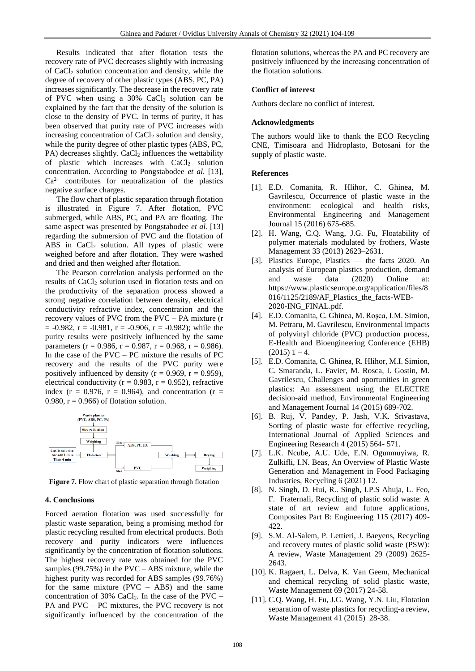Results indicated that after flotation tests the recovery rate of PVC decreases slightly with increasing of CaCl<sup>2</sup> solution concentration and density, while the degree of recovery of other plastic types (ABS, PC, PA) increases significantly. The decrease in the recovery rate of PVC when using a  $30\%$  CaCl<sub>2</sub> solution can be explained by the fact that the density of the solution is close to the density of PVC. In terms of purity, it has been observed that purity rate of PVC increases with increasing concentration of CaCl<sub>2</sub> solution and density, while the purity degree of other plastic types (ABS, PC,  $PA$ ) decreases slightly. CaCl<sub>2</sub> influences the wettability of plastic which increases with CaCl<sub>2</sub> solution concentration. According to Pongstabodee *et al.* [13],  $Ca<sup>2+</sup>$  contributes for neutralization of the plastics negative surface charges.

The flow chart of plastic separation through flotation is illustrated in Figure 7. After flotation, PVC submerged, while ABS, PC, and PA are floating. The same aspect was presented by Pongstabodee *et al.* [13] regarding the submersion of PVC and the flotation of ABS in  $CaCl<sub>2</sub>$  solution. All types of plastic were weighed before and after flotation. They were washed and dried and then weighed after flotation.

The Pearson correlation analysis performed on the results of CaCl<sup>2</sup> solution used in flotation tests and on the productivity of the separation process showed a strong negative correlation between density, electrical conductivity refractive index, concentration and the recovery values of PVC from the PVC – PA mixture (r  $= -0.982$ ,  $r = -0.981$ ,  $r = -0.906$ ,  $r = -0.982$ ); while the purity results were positively influenced by the same parameters ( $r = 0.986$ ,  $r = 0.987$ ,  $r = 0.968$ ,  $r = 0.986$ ). In the case of the  $PVC - PC$  mixture the results of  $PC$ recovery and the results of the PVC purity were positively influenced by density ( $r = 0.969$ ,  $r = 0.959$ ), electrical conductivity ( $r = 0.983$ ,  $r = 0.952$ ), refractive index ( $r = 0.976$ ,  $r = 0.964$ ), and concentration ( $r =$ 0.980,  $r = 0.966$ ) of flotation solution.



Figure 7. Flow chart of plastic separation through flotation

#### **4. Conclusions**

Forced aeration flotation was used successfully for plastic waste separation, being a promising method for plastic recycling resulted from electrical products. Both recovery and purity indicators were influences significantly by the concentration of flotation solutions. The highest recovery rate was obtained for the PVC samples (99.75%) in the PVC – ABS mixture, while the highest purity was recorded for ABS samples (99.76%) for the same mixture (PVC – ABS) and the same concentration of 30% CaCl<sub>2</sub>. In the case of the PVC – PA and PVC – PC mixtures, the PVC recovery is not significantly influenced by the concentration of the flotation solutions, whereas the PA and PC recovery are positively influenced by the increasing concentration of the flotation solutions.

#### **Conflict of interest**

Authors declare no conflict of interest.

#### **Acknowledgments**

The authors would like to thank the ECO Recycling CNE, Timisoara and Hidroplasto, Botosani for the supply of plastic waste.

#### **References**

- [1]. E.D. Comanita, R. Hlihor, C. Ghinea, M. Gavrilescu, Occurrence of plastic waste in the environment: ecological and health risks, Environmental Engineering and Management Journal 15 (2016) 675-685.
- [2]. H. Wang, C.Q. Wang, J.G. Fu, Floatability of polymer materials modulated by frothers, Waste Management 33 (2013) 2623–2631.
- [3]. Plastics Europe, Plastics the facts 2020. An analysis of European plastics production, demand and waste data (2020) Online at: https://www.plasticseurope.org/application/files/8 016/1125/2189/AF\_Plastics\_the\_facts-WEB-2020-ING\_FINAL.pdf.
- [4]. E.D. Comanita, C. Ghinea, M. Roşca, I.M. Simion, M. Petraru, M. Gavrilescu, Environmental impacts of polyvinyl chloride (PVC) production process, E-Health and Bioengineering Conference (EHB)  $(2015)$  1 – 4.
- [5]. E.D. Comanita, C. Ghinea, R. Hlihor, M.I. Simion, C. Smaranda, L. Favier, M. Rosca, I. Gostin, M. Gavrilescu, Challenges and oportunities in green plastics: An assessment using the ELECTRE decision-aid method, Environmental Engineering and Management Journal 14 (2015) 689-702.
- [6]. B. Ruj, V. Pandey, P. Jash, V.K. Srivastava, Sorting of plastic waste for effective recycling, International Journal of Applied Sciences and Engineering Research 4 (2015) 564- 571.
- [7]. L.K. Ncube, A.U. Ude, E.N. Ogunmuyiwa, R. Zulkifli, I.N. Beas, An Overview of Plastic Waste Generation and Management in Food Packaging Industries, Recycling 6 (2021) 12.
- [8]. N. Singh, D. Hui, R.. Singh, I.P.S Ahuja, L. Feo, F. Fraternali, Recycling of plastic solid waste: A state of art review and future applications, Composites Part B: Engineering 115 (2017) 409- 422.
- [9]. S.M. Al-Salem, P. Lettieri, J. Baeyens, Recycling and recovery routes of plastic solid waste (PSW): A review, Waste Management 29 (2009) 2625- 2643.
- [10]. K. Ragaert, L. Delva, K. Van Geem, Mechanical and chemical recycling of solid plastic waste, Waste Management 69 (2017) 24-58.
- [11]. C.Q. Wang, H. Fu, J.G. Wang, Y.N. Liu, Flotation separation of waste plastics for recycling-a review, Waste Management 41 (2015) 28-38.